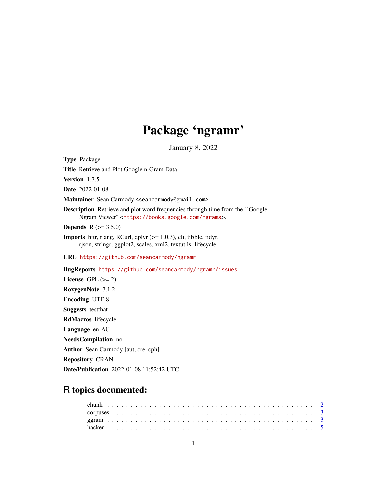## Package 'ngramr'

January 8, 2022

Type Package Title Retrieve and Plot Google n-Gram Data Version 1.7.5 Date 2022-01-08 Maintainer Sean Carmody <seancarmody@gmail.com> Description Retrieve and plot word frequencies through time from the ``Google Ngram Viewer'' <<https://books.google.com/ngrams>>. **Depends** R  $(>= 3.5.0)$ **Imports** httr, rlang, RCurl, dplyr  $(>= 1.0.3)$ , cli, tibble, tidyr, rjson, stringr, ggplot2, scales, xml2, textutils, lifecycle URL <https://github.com/seancarmody/ngramr> BugReports <https://github.com/seancarmody/ngramr/issues> License GPL  $(>= 2)$ RoxygenNote 7.1.2 Encoding UTF-8 Suggests testthat RdMacros lifecycle Language en-AU NeedsCompilation no Author Sean Carmody [aut, cre, cph]

Repository CRAN

Date/Publication 2022-01-08 11:52:42 UTC

### R topics documented: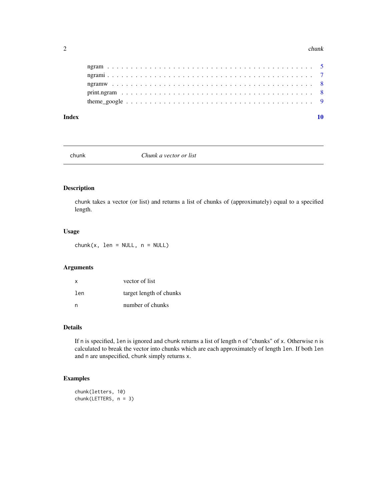#### <span id="page-1-0"></span> $2 \t**chunk**$

#### $\blacksquare$

chunk *Chunk a vector or list*

#### Description

chunk takes a vector (or list) and returns a list of chunks of (approximately) equal to a specified length.

#### Usage

 $chunk(x, len = NULL, n = NULL)$ 

#### Arguments

| x   | vector of list          |
|-----|-------------------------|
| len | target length of chunks |
| n   | number of chunks        |

#### Details

If n is specified, len is ignored and chunk returns a list of length n of "chunks" of x. Otherwise n is calculated to break the vector into chunks which are each approximately of length len. If both len and n are unspecified, chunk simply returns x.

#### Examples

```
chunk(letters, 10)
chunk(LETTERS, n = 3)
```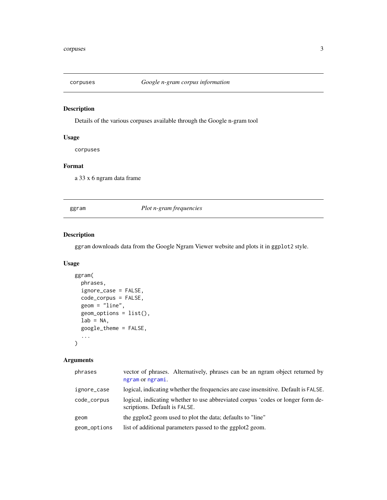<span id="page-2-0"></span>

#### Description

Details of the various corpuses available through the Google n-gram tool

#### Usage

corpuses

#### Format

a 33 x 6 ngram data frame

ggram *Plot n-gram frequencies*

#### Description

ggram downloads data from the Google Ngram Viewer website and plots it in ggplot2 style.

#### Usage

```
ggram(
 phrases,
  ignore_case = FALSE,
  code_corpus = FALSE,
 geom = "line",
  geom_ptions = list(),
  lab = NA,
  google_theme = FALSE,
  ...
\mathcal{L}
```
#### Arguments

| phrases      | vector of phrases. Alternatively, phrases can be an ngram object returned by<br>ngram or ngrami.                 |
|--------------|------------------------------------------------------------------------------------------------------------------|
| ignore_case  | logical, indicating whether the frequencies are case insensitive. Default is FALSE.                              |
| code_corpus  | logical, indicating whether to use abbreviated corpus 'codes or longer form de-<br>scriptions. Default is FALSE. |
| geom         | the ggplot2 geom used to plot the data; defaults to "line"                                                       |
| geom_options | list of additional parameters passed to the ggplot2 geom.                                                        |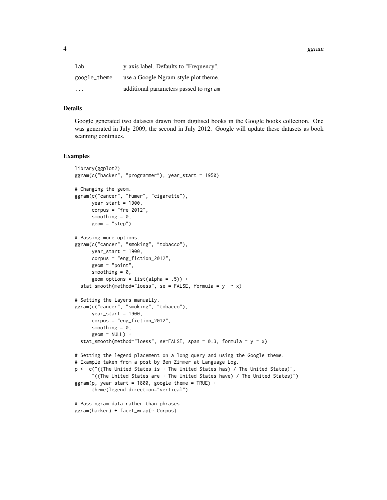4 ggram and the set of the set of the set of the set of the set of the set of the set of the set of the set of the set of the set of the set of the set of the set of the set of the set of the set of the set of the set of t

| lab                     | y-axis label. Defaults to "Frequency". |
|-------------------------|----------------------------------------|
| google_theme            | use a Google Ngram-style plot theme.   |
| $\cdot$ $\cdot$ $\cdot$ | additional parameters passed to ngram  |

#### Details

Google generated two datasets drawn from digitised books in the Google books collection. One was generated in July 2009, the second in July 2012. Google will update these datasets as book scanning continues.

#### Examples

```
library(ggplot2)
ggram(c("hacker", "programmer"), year_start = 1950)
# Changing the geom.
ggram(c("cancer", "fumer", "cigarette"),
     year\_start = 1900,corpus = "fre_2012",smoothing = 0,
     geom = "step")
# Passing more options.
ggram(c("cancer", "smoking", "tobacco"),
     year\_start = 1900,corpus = "eng_fiction_2012",
     geom = "point",
     smoothing = 0,
     geom_options = list(alpha = .5)) +
 stat_smooth(method="loess", se = FALSE, formula = y \sim x)
# Setting the layers manually.
ggram(c("cancer", "smoking", "tobacco"),
     year\_start = 1900,
     corpus = "eng_fiction_2012",
     smoothing = 0,
     geom = NULL) +
 stat_smooth(method="loess", se=FALSE, span = 0.3, formula = y \sim x)
# Setting the legend placement on a long query and using the Google theme.
# Example taken from a post by Ben Zimmer at Language Log.
p <- c("((The United States is + The United States has) / The United States)",
      "((The United States are + The United States have) / The United States)")
ggram(p, year\_start = 1800, goodle\_them = TRUE) +theme(legend.direction="vertical")
# Pass ngram data rather than phrases
ggram(hacker) + facet_wrap(~ Corpus)
```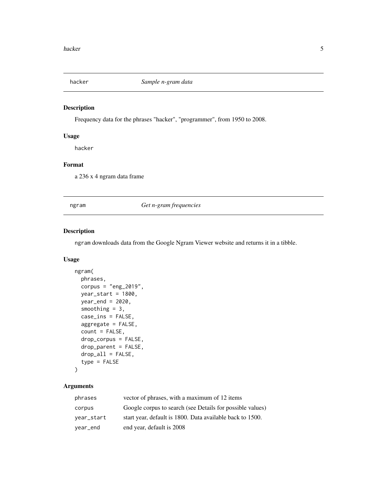<span id="page-4-0"></span>

#### Description

Frequency data for the phrases "hacker", "programmer", from 1950 to 2008.

#### Usage

hacker

#### Format

a 236 x 4 ngram data frame

<span id="page-4-1"></span>ngram *Get n-gram frequencies*

#### Description

ngram downloads data from the Google Ngram Viewer website and returns it in a tibble.

#### Usage

```
ngram(
 phrases,
  corpus = "eng_2019",year_start = 1800,
 year_end = 2020,
  smoothing = 3,
  case_ins = FALSE,
  aggregate = FALSE,
  count = FALSE,drop_corpus = FALSE,
  drop_parent = FALSE,
  drop_all = FALSE,
  type = FALSE
\mathcal{L}
```
#### Arguments

| phrases    | vector of phrases, with a maximum of 12 items             |
|------------|-----------------------------------------------------------|
| corpus     | Google corpus to search (see Details for possible values) |
| year_start | start year, default is 1800. Data available back to 1500. |
| year_end   | end year, default is 2008                                 |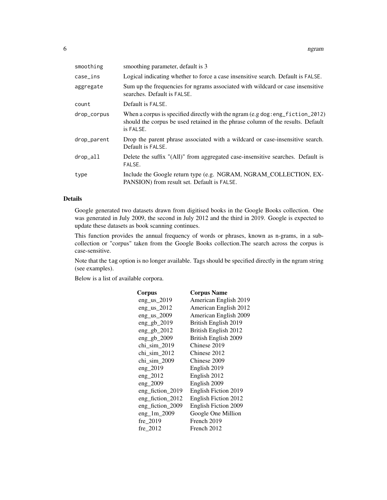| smoothing   | smoothing parameter, default is 3                                                                                                                                                |
|-------------|----------------------------------------------------------------------------------------------------------------------------------------------------------------------------------|
| case_ins    | Logical indicating whether to force a case insensitive search. Default is FALSE.                                                                                                 |
| aggregate   | Sum up the frequencies for ngrams associated with wildcard or case insensitive<br>searches. Default is FALSE.                                                                    |
| count       | Default is FALSE.                                                                                                                                                                |
| drop_corpus | When a corpus is specified directly with the ngram $(e.g dog: eng_fiction_2012)$<br>should the corpus be used retained in the phrase column of the results. Default<br>is FALSE. |
| drop_parent | Drop the parent phrase associated with a wildcard or case-insensitive search.<br>Default is FALSE.                                                                               |
| drop_all    | Delete the suffix "(All)" from aggregated case-insensitive searches. Default is<br>FALSE.                                                                                        |
| type        | Include the Google return type (e.g. NGRAM, NGRAM_COLLECTION, EX-<br>PANSION) from result set. Default is FALSE.                                                                 |

#### Details

Google generated two datasets drawn from digitised books in the Google Books collection. One was generated in July 2009, the second in July 2012 and the third in 2019. Google is expected to update these datasets as book scanning continues.

This function provides the annual frequency of words or phrases, known as n-grams, in a subcollection or "corpus" taken from the Google Books collection.The search across the corpus is case-sensitive.

Note that the tag option is no longer available. Tags should be specified directly in the ngram string (see examples).

Below is a list of available corpora.

| Corpus           | <b>Corpus Name</b>    |
|------------------|-----------------------|
| eng_us_2019      | American English 2019 |
| eng_us_2012      | American English 2012 |
| eng_us_2009      | American English 2009 |
| $eng\_gb_2019$   | British English 2019  |
| $eng\_gb\_2012$  | British English 2012  |
| $eng\_gb_2009$   | British English 2009  |
| chi_sim_2019     | Chinese 2019          |
| chi_sim_2012     | Chinese 2012          |
| chi_sim_2009     | Chinese 2009          |
| $eng_2019$       | English 2019          |
| $eng_2012$       | English 2012          |
| $eng_2009$       | English 2009          |
| eng_fiction_2019 | English Fiction 2019  |
| eng_fiction_2012 | English Fiction 2012  |
| eng_fiction_2009 | English Fiction 2009  |
| $eng_1m_2009$    | Google One Million    |
| fre_2019         | French 2019           |
| fre 2012         | French 2012           |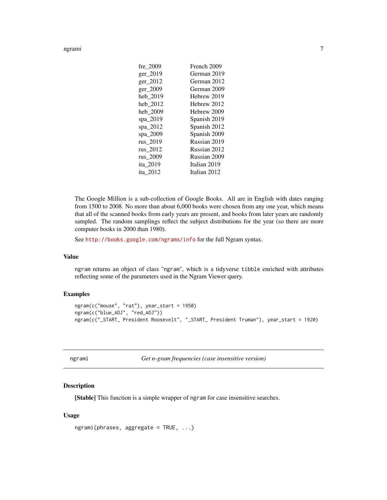<span id="page-6-0"></span>ngrami 7

| fre 2009 | French 2009  |
|----------|--------------|
| ger_2019 | German 2019  |
| ger_2012 | German 2012  |
| ger_2009 | German 2009  |
| heb 2019 | Hebrew 2019  |
| heb_2012 | Hebrew 2012  |
| heb 2009 | Hebrew 2009  |
| spa_2019 | Spanish 2019 |
| spa_2012 | Spanish 2012 |
| spa_2009 | Spanish 2009 |
| rus 2019 | Russian 2019 |
| rus 2012 | Russian 2012 |
| rus 2009 | Russian 2009 |
| ita 2019 | Italian 2019 |
| ita 2012 | Italian 2012 |
|          |              |

The Google Million is a sub-collection of Google Books. All are in English with dates ranging from 1500 to 2008. No more than about 6,000 books were chosen from any one year, which means that all of the scanned books from early years are present, and books from later years are randomly sampled. The random samplings reflect the subject distributions for the year (so there are more computer books in 2000 than 1980).

See <http://books.google.com/ngrams/info> for the full Ngram syntax.

#### Value

ngram returns an object of class "ngram", which is a tidyverse tibble enriched with attributes reflecting some of the parameters used in the Ngram Viewer query.

#### Examples

```
ngram(c("mouse", "rat"), year_start = 1950)
ngram(c("blue_ADJ", "red_ADJ"))
ngram(c("_START_ President Roosevelt", "_START_ President Truman"), year_start = 1920)
```
<span id="page-6-1"></span>

|  | amı |
|--|-----|
|  |     |
|  |     |

Get *n-gram frequencies (case insensitive version)* 

#### Description

[Stable] This function is a simple wrapper of ngram for case insensitive searches.

#### Usage

```
ngrami(phrases, aggregate = TRUE, ...)
```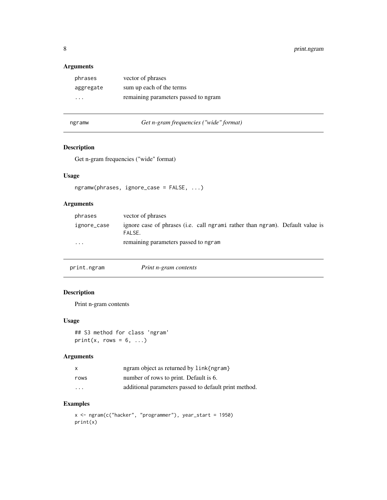#### <span id="page-7-0"></span>Arguments

| phrases                 | vector of phrases                    |
|-------------------------|--------------------------------------|
| aggregate               | sum up each of the terms             |
| $\cdot$ $\cdot$ $\cdot$ | remaining parameters passed to ngram |

```
ngramw Get n-gram frequencies ("wide" format)
```
#### Description

Get n-gram frequencies ("wide" format)

#### Usage

```
ngramw(phrases, ignore_case = FALSE, ...)
```
#### Arguments

| phrases                 | vector of phrases                                                                               |
|-------------------------|-------------------------------------------------------------------------------------------------|
| ignore_case             | ignore case of phrases ( <i>i.e.</i> call ngrami rather than ngram). Default value is<br>FALSE. |
| $\cdot$ $\cdot$ $\cdot$ | remaining parameters passed to ngram                                                            |

| print.ngram | Print n-gram contents |  |
|-------------|-----------------------|--|
|-------------|-----------------------|--|

#### Description

Print n-gram contents

#### Usage

## S3 method for class 'ngram' print(x, rows =  $6, ...$ )

#### Arguments

| x       | ngram object as returned by link{ngram}               |
|---------|-------------------------------------------------------|
| rows    | number of rows to print. Default is 6.                |
| $\cdot$ | additional parameters passed to default print method. |

#### Examples

x <- ngram(c("hacker", "programmer"), year\_start = 1950) print(x)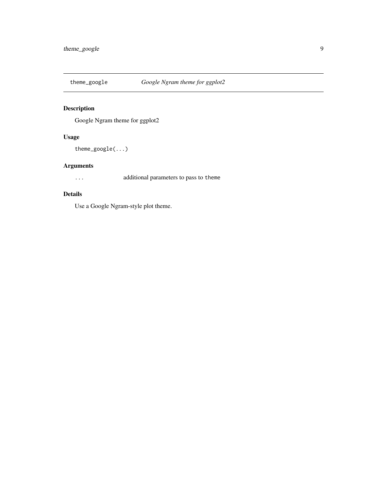<span id="page-8-0"></span>

#### Description

Google Ngram theme for ggplot2

#### Usage

theme\_google(...)

#### Arguments

... additional parameters to pass to theme

#### Details

Use a Google Ngram-style plot theme.